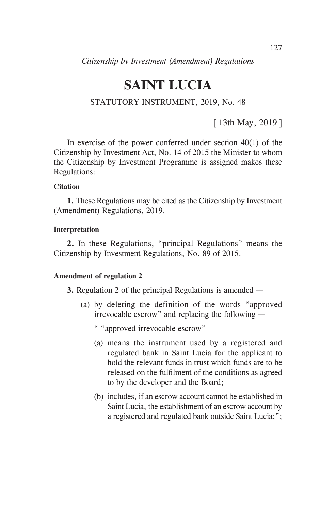# **SAINT LUCIA**

## STATUTORY INSTRUMENT, 2019, No. 48

[ 13th May, 2019 ]

In exercise of the power conferred under section  $40(1)$  of the Citizenship by Investment Act, No. 14 of 2015 the Minister to whom the Citizenship by Investment Programme is assigned makes these Regulations:

#### **Citation**

**1.** These Regulations may be cited as the Citizenship by Investment (Amendment) Regulations, 2019.

#### **Interpretation**

**2.** In these Regulations, "principal Regulations" means the Citizenship by Investment Regulations, No. 89 of 2015.

#### **Amendment of regulation 2**

**3.** Regulation 2 of the principal Regulations is amended —

- (a) by deleting the definition of the words "approved irrevocable escrow" and replacing the following —
	- " "approved irrevocable escrow" —
	- (a) means the instrument used by a registered and regulated bank in Saint Lucia for the applicant to hold the relevant funds in trust which funds are to be released on the fulfilment of the conditions as agreed to by the developer and the Board;
	- (b) includes, if an escrow account cannot be established in Saint Lucia, the establishment of an escrow account by a registered and regulated bank outside Saint Lucia;";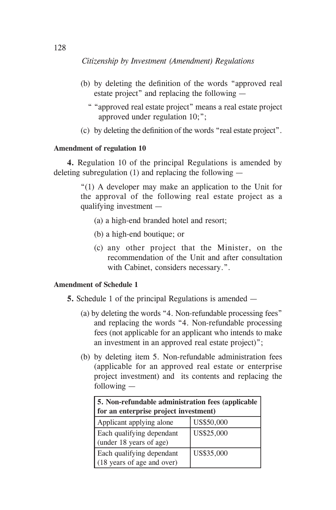- (b) by deleting the definition of the words "approved real estate project" and replacing the following —
	- " "approved real estate project" means a real estate project approved under regulation 10;";
- (c) by deleting the definition of the words "real estate project".

## **Amendment of regulation 10**

**4.** Regulation 10 of the principal Regulations is amended by deleting subregulation (1) and replacing the following —

> "(1) A developer may make an application to the Unit for the approval of the following real estate project as a qualifying investment —

- (a) a high-end branded hotel and resort;
- (b) a high-end boutique; or
- (c) any other project that the Minister, on the recommendation of the Unit and after consultation with Cabinet, considers necessary.".

## **Amendment of Schedule 1**

**5.** Schedule 1 of the principal Regulations is amended —

- (a) by deleting the words "4. Non-refundable processing fees" and replacing the words "4. Non-refundable processing fees (not applicable for an applicant who intends to make an investment in an approved real estate project)";
- (b) by deleting item 5. Non-refundable administration fees (applicable for an approved real estate or enterprise project investment) and its contents and replacing the following —

| 5. Non-refundable administration fees (applicable<br>for an enterprise project investment) |            |  |
|--------------------------------------------------------------------------------------------|------------|--|
| Applicant applying alone                                                                   | US\$50,000 |  |
| Each qualifying dependant<br>(under 18 years of age)                                       | US\$25,000 |  |
| Each qualifying dependant<br>(18 years of age and over)                                    | US\$35,000 |  |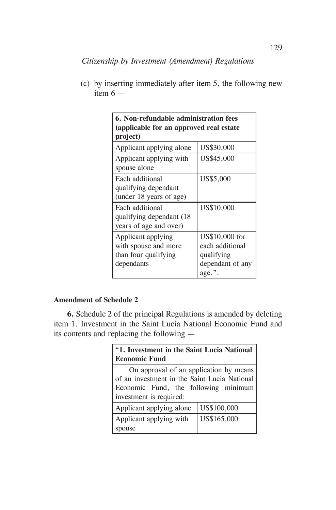| <b>6. Non-refundable administration fees</b><br>(applicable for an approved real estate<br>project) |                                                                                  |  |
|-----------------------------------------------------------------------------------------------------|----------------------------------------------------------------------------------|--|
| Applicant applying alone                                                                            | US\$30,000                                                                       |  |
| Applicant applying with<br>spouse alone                                                             | US\$45,000                                                                       |  |
| Each additional<br>qualifying dependant<br>(under 18 years of age)                                  | US\$5,000                                                                        |  |
| Each additional<br>qualifying dependant (18)<br>years of age and over)                              | US\$10,000                                                                       |  |
| Applicant applying<br>with spouse and more<br>than four qualifying<br>dependants                    | US\$10,000 for<br>each additional<br>qualifying<br>dependant of any<br>$age.$ ". |  |

(c) by inserting immediately after item 5, the following new item  $6 -$ 

## **Amendment of Schedule 2**

**6.** Schedule 2 of the principal Regulations is amended by deleting item 1. Investment in the Saint Lucia National Economic Fund and its contents and replacing the following —

| "1. Investment in the Saint Lucia National<br><b>Economic Fund</b>                                                                                        |             |  |
|-----------------------------------------------------------------------------------------------------------------------------------------------------------|-------------|--|
| On approval of an application by means<br>of an investment in the Saint Lucia National<br>Economic Fund, the following minimum<br>investment is required: |             |  |
| Applicant applying alone                                                                                                                                  | US\$100,000 |  |
| Applicant applying with<br>spouse                                                                                                                         | US\$165,000 |  |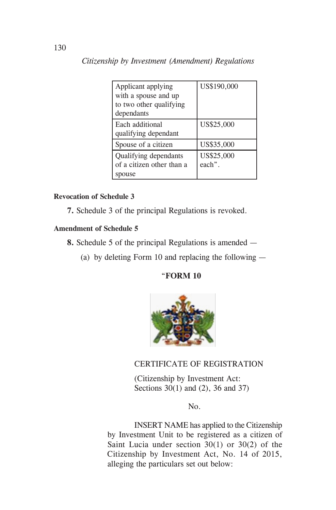| Applicant applying        | US\$190,000 |
|---------------------------|-------------|
| with a spouse and up      |             |
| to two other qualifying   |             |
| dependants                |             |
| Each additional           | US\$25,000  |
| qualifying dependant      |             |
| Spouse of a citizen       | US\$35,000  |
| Qualifying dependants     | US\$25,000  |
| of a citizen other than a | each".      |
| spouse                    |             |

## **Revocation of Schedule 3**

**7.** Schedule 3 of the principal Regulations is revoked.

#### **Amendment of Schedule 5**

- **8.** Schedule 5 of the principal Regulations is amended
	- (a) by deleting Form 10 and replacing the following —

## "**FORM 10**



## CERTIFICATE OF REGISTRATION

 (Citizenship by Investment Act: Sections 30(1) and (2), 36 and 37)

## No.

 INSERT NAME has applied to the Citizenship by Investment Unit to be registered as a citizen of Saint Lucia under section 30(1) or 30(2) of the Citizenship by Investment Act, No. 14 of 2015, alleging the particulars set out below: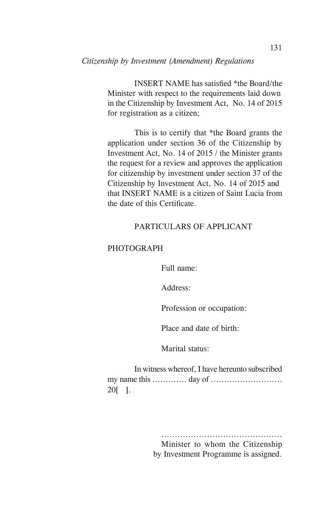INSERT NAME has satisfied \*the Board/the Minister with respect to the requirements laid down in the Citizenship by Investment Act, No. 14 of 2015 for registration as a citizen;

 This is to certify that \*the Board grants the application under section 36 of the Citizenship by Investment Act, No. 14 of 2015 / the Minister grants the request for a review and approves the application for citizenship by investment under section 37 of the Citizenship by Investment Act, No. 14 of 2015 and that INSERT NAME is a citizen of Saint Lucia from the date of this Certificate.

## PARTICULARS OF APPLICANT

#### **PHOTOGRAPH**

Full name:

Address:

Profession or occupation:

Place and date of birth:

Marital status:

 In witness whereof, I have hereunto subscribed my name this ............. day of ........................... 20[ ].

> ............................................. Minister to whom the Citizenship by Investment Programme is assigned.